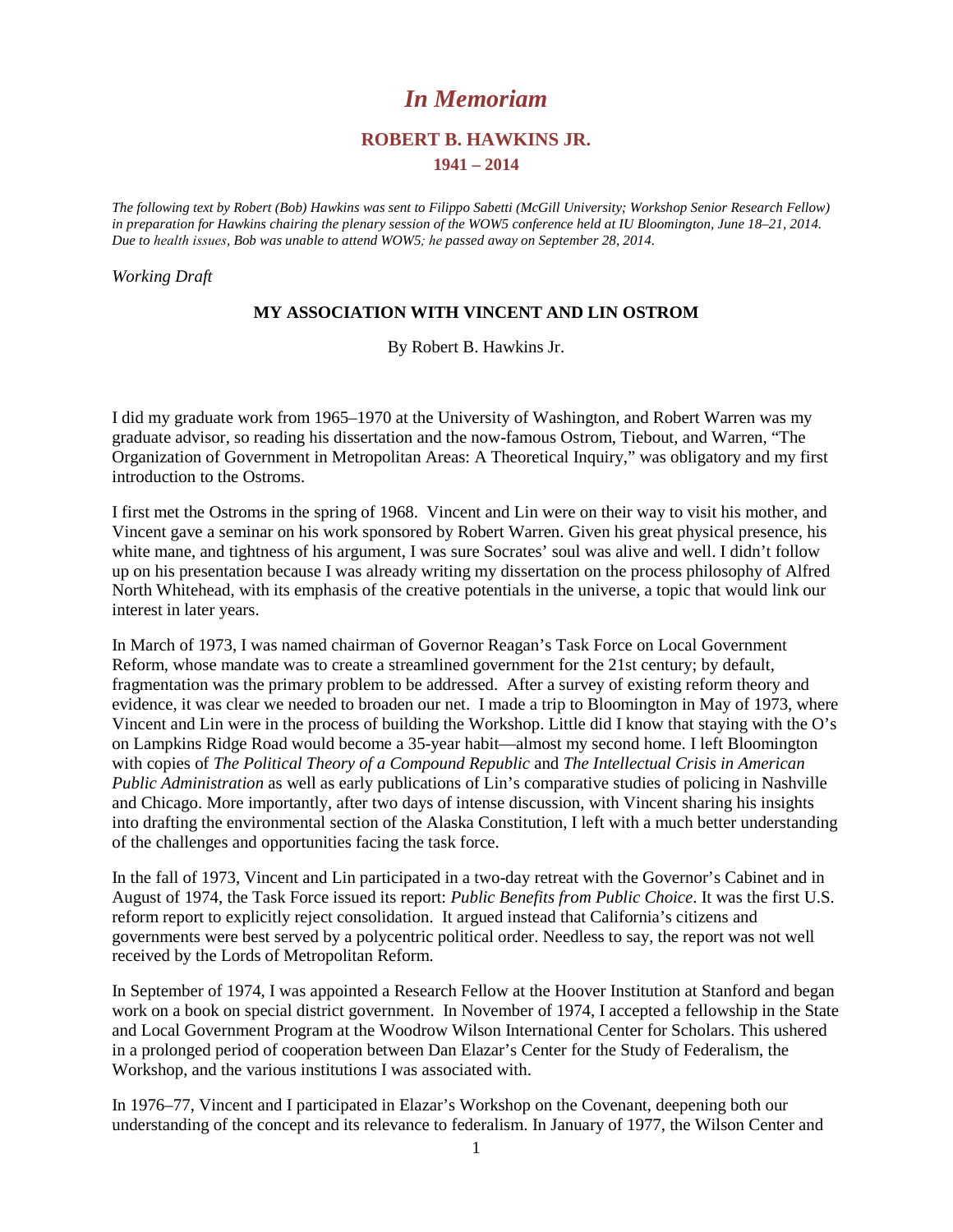# *In Memoriam*

# **ROBERT B. HAWKINS JR.**

### **1941 – 2014**

*The following text by Robert (Bob) Hawkins was sent to Filippo Sabetti (McGill University; Workshop Senior Research Fellow) in preparation for Hawkins chairing the plenary session of the WOW5 conference held at IU Bloomington, June 18–21, 2014. Due to health issues, Bob was unable to attend WOW5; he passed away on September 28, 2014.* 

*Working Draft* 

# **MY ASSOCIATION WITH VINCENT AND LIN OSTROM**

By Robert B. Hawkins Jr.

I did my graduate work from 1965–1970 at the University of Washington, and Robert Warren was my graduate advisor, so reading his dissertation and the now-famous Ostrom, Tiebout, and Warren, "The Organization of Government in Metropolitan Areas: A Theoretical Inquiry," was obligatory and my first introduction to the Ostroms.

I first met the Ostroms in the spring of 1968. Vincent and Lin were on their way to visit his mother, and Vincent gave a seminar on his work sponsored by Robert Warren. Given his great physical presence, his white mane, and tightness of his argument, I was sure Socrates' soul was alive and well. I didn't follow up on his presentation because I was already writing my dissertation on the process philosophy of Alfred North Whitehead, with its emphasis of the creative potentials in the universe, a topic that would link our interest in later years.

In March of 1973, I was named chairman of Governor Reagan's Task Force on Local Government Reform, whose mandate was to create a streamlined government for the 21st century; by default, fragmentation was the primary problem to be addressed. After a survey of existing reform theory and evidence, it was clear we needed to broaden our net. I made a trip to Bloomington in May of 1973, where Vincent and Lin were in the process of building the Workshop. Little did I know that staying with the O's on Lampkins Ridge Road would become a 35-year habit—almost my second home. I left Bloomington with copies of *The Political Theory of a Compound Republic* and *The Intellectual Crisis in American Public Administration* as well as early publications of Lin's comparative studies of policing in Nashville and Chicago. More importantly, after two days of intense discussion, with Vincent sharing his insights into drafting the environmental section of the Alaska Constitution, I left with a much better understanding of the challenges and opportunities facing the task force.

In the fall of 1973, Vincent and Lin participated in a two-day retreat with the Governor's Cabinet and in August of 1974, the Task Force issued its report: *Public Benefits from Public Choice*. It was the first U.S. reform report to explicitly reject consolidation. It argued instead that California's citizens and governments were best served by a polycentric political order. Needless to say, the report was not well received by the Lords of Metropolitan Reform.

In September of 1974, I was appointed a Research Fellow at the Hoover Institution at Stanford and began work on a book on special district government. In November of 1974, I accepted a fellowship in the State and Local Government Program at the Woodrow Wilson International Center for Scholars. This ushered in a prolonged period of cooperation between Dan Elazar's Center for the Study of Federalism, the Workshop, and the various institutions I was associated with.

In 1976–77, Vincent and I participated in Elazar's Workshop on the Covenant, deepening both our understanding of the concept and its relevance to federalism. In January of 1977, the Wilson Center and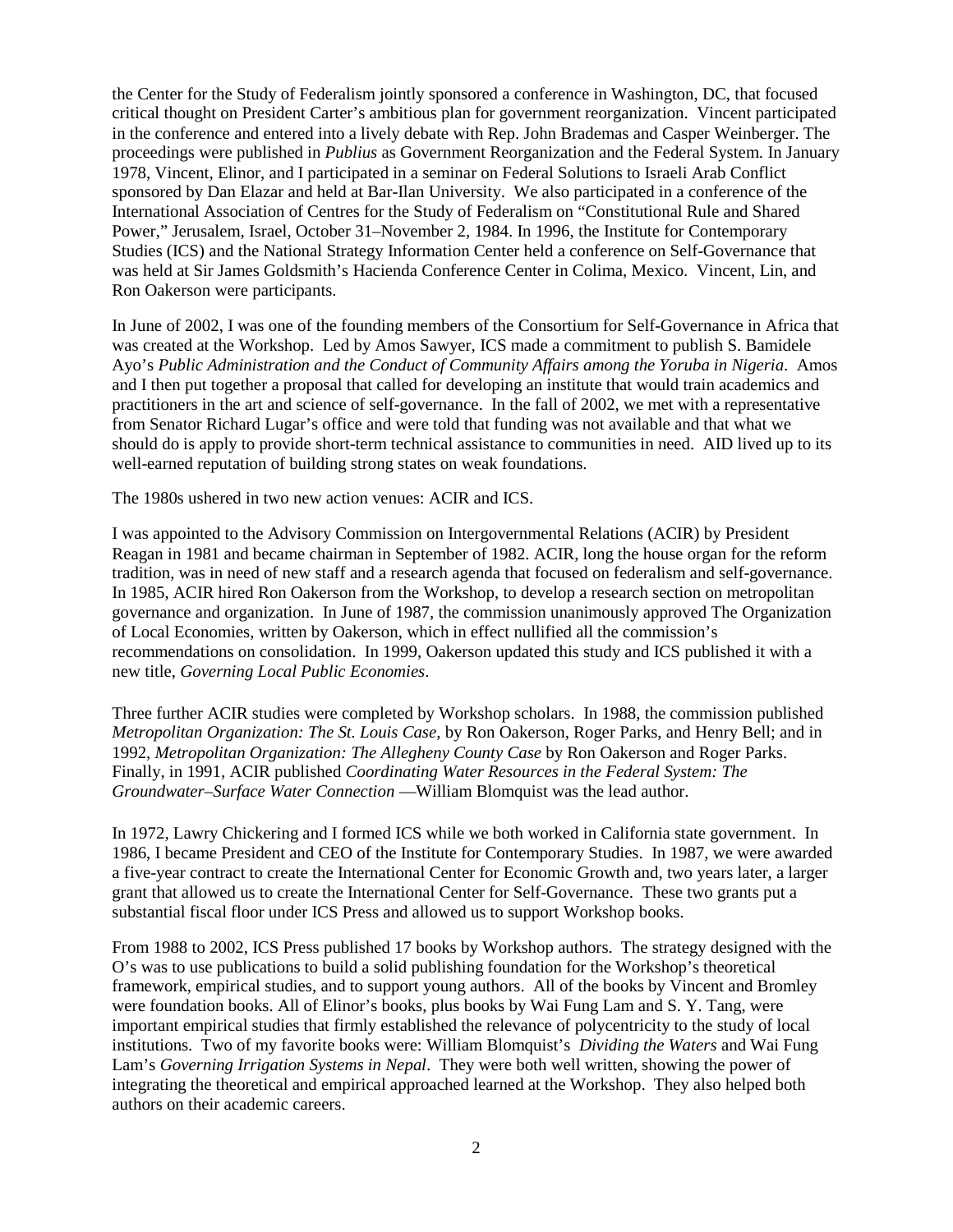the Center for the Study of Federalism jointly sponsored a conference in Washington, DC, that focused critical thought on President Carter's ambitious plan for government reorganization. Vincent participated in the conference and entered into a lively debate with Rep. John Brademas and Casper Weinberger. The proceedings were published in *Publius* as Government Reorganization and the Federal System. In January 1978, Vincent, Elinor, and I participated in a seminar on Federal Solutions to Israeli Arab Conflict sponsored by Dan Elazar and held at Bar-Ilan University. We also participated in a conference of the International Association of Centres for the Study of Federalism on "Constitutional Rule and Shared Power," Jerusalem, Israel, October 31–November 2, 1984. In 1996, the Institute for Contemporary Studies (ICS) and the National Strategy Information Center held a conference on Self-Governance that was held at Sir James Goldsmith's Hacienda Conference Center in Colima, Mexico. Vincent, Lin, and Ron Oakerson were participants.

In June of 2002, I was one of the founding members of the Consortium for Self-Governance in Africa that was created at the Workshop. Led by Amos Sawyer, ICS made a commitment to publish S. Bamidele Ayo's *Public Administration and the Conduct of Community Affairs among the Yoruba in Nigeria*. Amos and I then put together a proposal that called for developing an institute that would train academics and practitioners in the art and science of self-governance. In the fall of 2002, we met with a representative from Senator Richard Lugar's office and were told that funding was not available and that what we should do is apply to provide short-term technical assistance to communities in need. AID lived up to its well-earned reputation of building strong states on weak foundations.

The 1980s ushered in two new action venues: ACIR and ICS.

I was appointed to the Advisory Commission on Intergovernmental Relations (ACIR) by President Reagan in 1981 and became chairman in September of 1982. ACIR, long the house organ for the reform tradition, was in need of new staff and a research agenda that focused on federalism and self-governance. In 1985, ACIR hired Ron Oakerson from the Workshop, to develop a research section on metropolitan governance and organization. In June of 1987, the commission unanimously approved The Organization of Local Economies, written by Oakerson, which in effect nullified all the commission's recommendations on consolidation. In 1999, Oakerson updated this study and ICS published it with a new title, *Governing Local Public Economies*.

Three further ACIR studies were completed by Workshop scholars. In 1988, the commission published *Metropolitan Organization: The St. Louis Case*, by Ron Oakerson, Roger Parks, and Henry Bell; and in 1992, *Metropolitan Organization: The Allegheny County Case* by Ron Oakerson and Roger Parks. Finally, in 1991, ACIR published *Coordinating Water Resources in the Federal System: The Groundwater–Surface Water Connection* —William Blomquist was the lead author.

In 1972, Lawry Chickering and I formed ICS while we both worked in California state government. In 1986, I became President and CEO of the Institute for Contemporary Studies. In 1987, we were awarded a five-year contract to create the International Center for Economic Growth and, two years later, a larger grant that allowed us to create the International Center for Self-Governance. These two grants put a substantial fiscal floor under ICS Press and allowed us to support Workshop books.

From 1988 to 2002, ICS Press published 17 books by Workshop authors. The strategy designed with the O's was to use publications to build a solid publishing foundation for the Workshop's theoretical framework, empirical studies, and to support young authors. All of the books by Vincent and Bromley were foundation books. All of Elinor's books, plus books by Wai Fung Lam and S. Y. Tang, were important empirical studies that firmly established the relevance of polycentricity to the study of local institutions. Two of my favorite books were: William Blomquist's *Dividing the Waters* and Wai Fung Lam's *Governing Irrigation Systems in Nepal*. They were both well written, showing the power of integrating the theoretical and empirical approached learned at the Workshop. They also helped both authors on their academic careers.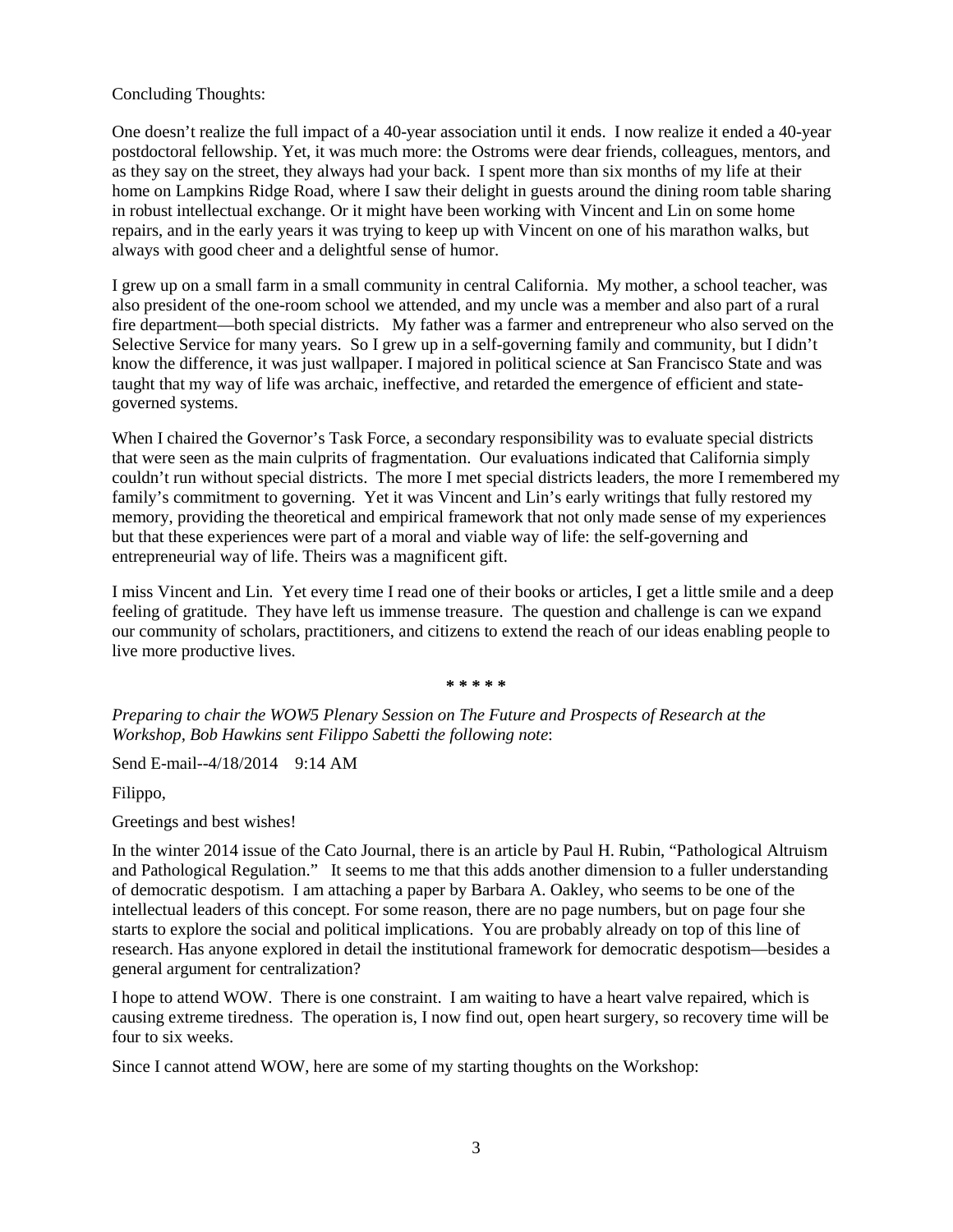Concluding Thoughts:

One doesn't realize the full impact of a 40-year association until it ends. I now realize it ended a 40-year postdoctoral fellowship. Yet, it was much more: the Ostroms were dear friends, colleagues, mentors, and as they say on the street, they always had your back. I spent more than six months of my life at their home on Lampkins Ridge Road, where I saw their delight in guests around the dining room table sharing in robust intellectual exchange. Or it might have been working with Vincent and Lin on some home repairs, and in the early years it was trying to keep up with Vincent on one of his marathon walks, but always with good cheer and a delightful sense of humor.

I grew up on a small farm in a small community in central California. My mother, a school teacher, was also president of the one-room school we attended, and my uncle was a member and also part of a rural fire department—both special districts. My father was a farmer and entrepreneur who also served on the Selective Service for many years. So I grew up in a self-governing family and community, but I didn't know the difference, it was just wallpaper. I majored in political science at San Francisco State and was taught that my way of life was archaic, ineffective, and retarded the emergence of efficient and stategoverned systems.

When I chaired the Governor's Task Force, a secondary responsibility was to evaluate special districts that were seen as the main culprits of fragmentation. Our evaluations indicated that California simply couldn't run without special districts. The more I met special districts leaders, the more I remembered my family's commitment to governing. Yet it was Vincent and Lin's early writings that fully restored my memory, providing the theoretical and empirical framework that not only made sense of my experiences but that these experiences were part of a moral and viable way of life: the self-governing and entrepreneurial way of life. Theirs was a magnificent gift.

I miss Vincent and Lin. Yet every time I read one of their books or articles, I get a little smile and a deep feeling of gratitude. They have left us immense treasure. The question and challenge is can we expand our community of scholars, practitioners, and citizens to extend the reach of our ideas enabling people to live more productive lives.

**\* \* \* \* \***

*Preparing to chair the WOW5 Plenary Session on The Future and Prospects of Research at the Workshop, Bob Hawkins sent Filippo Sabetti the following note*:

Send E-mail--4/18/2014 9:14 AM

Filippo,

Greetings and best wishes!

In the winter 2014 issue of the Cato Journal, there is an article by Paul H. Rubin, "Pathological Altruism and Pathological Regulation." It seems to me that this adds another dimension to a fuller understanding of democratic despotism. I am attaching a paper by Barbara A. Oakley, who seems to be one of the intellectual leaders of this concept. For some reason, there are no page numbers, but on page four she starts to explore the social and political implications. You are probably already on top of this line of research. Has anyone explored in detail the institutional framework for democratic despotism—besides a general argument for centralization?

I hope to attend WOW. There is one constraint. I am waiting to have a heart valve repaired, which is causing extreme tiredness. The operation is, I now find out, open heart surgery, so recovery time will be four to six weeks.

Since I cannot attend WOW, here are some of my starting thoughts on the Workshop: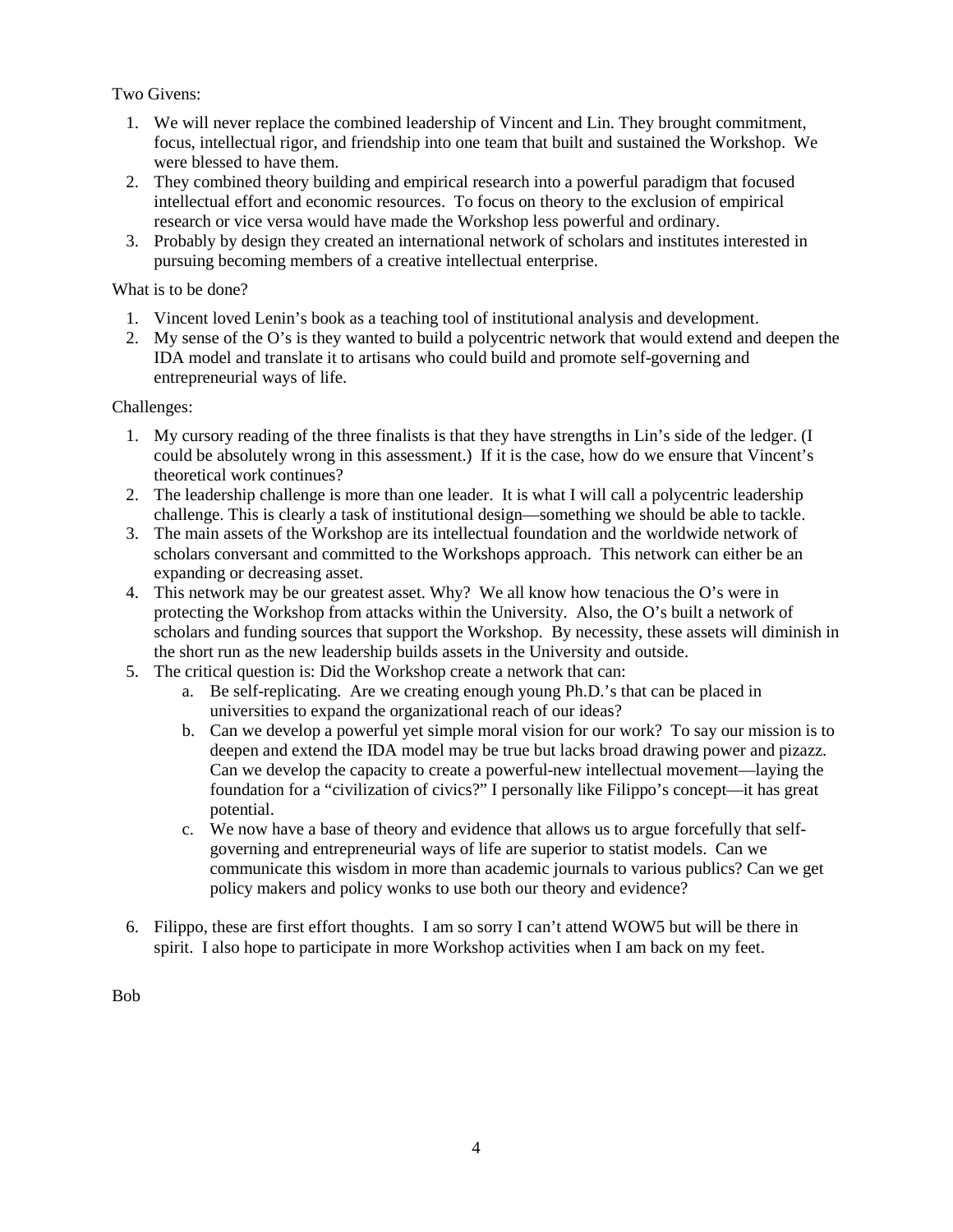Two Givens:

- 1. We will never replace the combined leadership of Vincent and Lin. They brought commitment, focus, intellectual rigor, and friendship into one team that built and sustained the Workshop. We were blessed to have them.
- 2. They combined theory building and empirical research into a powerful paradigm that focused intellectual effort and economic resources. To focus on theory to the exclusion of empirical research or vice versa would have made the Workshop less powerful and ordinary.
- 3. Probably by design they created an international network of scholars and institutes interested in pursuing becoming members of a creative intellectual enterprise.

What is to be done?

- 1. Vincent loved Lenin's book as a teaching tool of institutional analysis and development.
- 2. My sense of the O's is they wanted to build a polycentric network that would extend and deepen the IDA model and translate it to artisans who could build and promote self-governing and entrepreneurial ways of life.

Challenges:

- 1. My cursory reading of the three finalists is that they have strengths in Lin's side of the ledger. (I could be absolutely wrong in this assessment.) If it is the case, how do we ensure that Vincent's theoretical work continues?
- 2. The leadership challenge is more than one leader. It is what I will call a polycentric leadership challenge. This is clearly a task of institutional design—something we should be able to tackle.
- 3. The main assets of the Workshop are its intellectual foundation and the worldwide network of scholars conversant and committed to the Workshops approach. This network can either be an expanding or decreasing asset.
- 4. This network may be our greatest asset. Why? We all know how tenacious the O's were in protecting the Workshop from attacks within the University. Also, the O's built a network of scholars and funding sources that support the Workshop. By necessity, these assets will diminish in the short run as the new leadership builds assets in the University and outside.
- 5. The critical question is: Did the Workshop create a network that can:
	- a. Be self-replicating. Are we creating enough young Ph.D.'s that can be placed in universities to expand the organizational reach of our ideas?
	- b. Can we develop a powerful yet simple moral vision for our work? To say our mission is to deepen and extend the IDA model may be true but lacks broad drawing power and pizazz. Can we develop the capacity to create a powerful-new intellectual movement—laying the foundation for a "civilization of civics?" I personally like Filippo's concept—it has great potential.
	- c. We now have a base of theory and evidence that allows us to argue forcefully that selfgoverning and entrepreneurial ways of life are superior to statist models. Can we communicate this wisdom in more than academic journals to various publics? Can we get policy makers and policy wonks to use both our theory and evidence?
- 6. Filippo, these are first effort thoughts. I am so sorry I can't attend WOW5 but will be there in spirit. I also hope to participate in more Workshop activities when I am back on my feet.

Bob